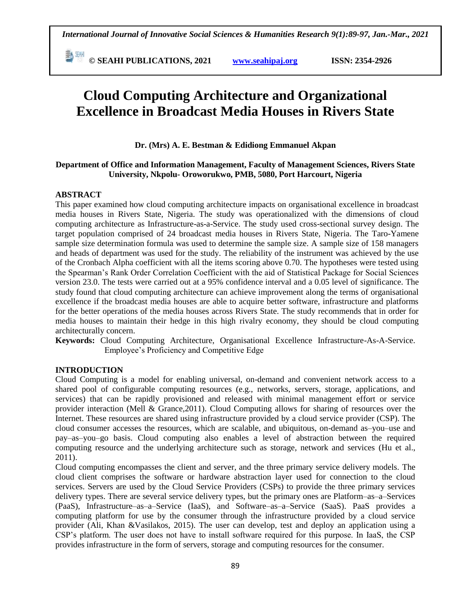**E** <sup>[36]</sup> © SEAHI PUBLICATIONS, 2021 *www.seahipaj.org* **ISSN: 2354-2926** 

# **Cloud Computing Architecture and Organizational Excellence in Broadcast Media Houses in Rivers State**

**Dr. (Mrs) A. E. Bestman & Edidiong Emmanuel Akpan**

#### **Department of Office and Information Management, Faculty of Management Sciences, Rivers State University, Nkpolu- Oroworukwo, PMB, 5080, Port Harcourt, Nigeria**

#### **ABSTRACT**

This paper examined how cloud computing architecture impacts on organisational excellence in broadcast media houses in Rivers State, Nigeria. The study was operationalized with the dimensions of cloud computing architecture as Infrastructure-as-a-Service. The study used cross-sectional survey design. The target population comprised of 24 broadcast media houses in Rivers State, Nigeria. The Taro-Yamene sample size determination formula was used to determine the sample size. A sample size of 158 managers and heads of department was used for the study. The reliability of the instrument was achieved by the use of the Cronbach Alpha coefficient with all the items scoring above 0.70. The hypotheses were tested using the Spearman's Rank Order Correlation Coefficient with the aid of Statistical Package for Social Sciences version 23.0. The tests were carried out at a 95% confidence interval and a 0.05 level of significance. The study found that cloud computing architecture can achieve improvement along the terms of organisational excellence if the broadcast media houses are able to acquire better software, infrastructure and platforms for the better operations of the media houses across Rivers State. The study recommends that in order for media houses to maintain their hedge in this high rivalry economy, they should be cloud computing architecturally concern.

**Keywords:** Cloud Computing Architecture, Organisational Excellence Infrastructure-As-A-Service. Employee's Proficiency and Competitive Edge

## **INTRODUCTION**

Cloud Computing is a model for enabling universal, on-demand and convenient network access to a shared pool of configurable computing resources (e.g., networks, servers, storage, applications, and services) that can be rapidly provisioned and released with minimal management effort or service provider interaction (Mell & Grance,2011). Cloud Computing allows for sharing of resources over the Internet. These resources are shared using infrastructure provided by a cloud service provider (CSP). The cloud consumer accesses the resources, which are scalable, and ubiquitous, on-demand as–you–use and pay–as–you–go basis. Cloud computing also enables a level of abstraction between the required computing resource and the underlying architecture such as storage, network and services (Hu et al., 2011).

Cloud computing encompasses the client and server, and the three primary service delivery models. The cloud client comprises the software or hardware abstraction layer used for connection to the cloud services. Servers are used by the Cloud Service Providers (CSPs) to provide the three primary services delivery types. There are several service delivery types, but the primary ones are Platform–as–a–Services (PaaS), Infrastructure–as–a–Service (IaaS), and Software–as–a–Service (SaaS). PaaS provides a computing platform for use by the consumer through the infrastructure provided by a cloud service provider (Ali, Khan &Vasilakos, 2015). The user can develop, test and deploy an application using a CSP's platform. The user does not have to install software required for this purpose. In IaaS, the CSP provides infrastructure in the form of servers, storage and computing resources for the consumer.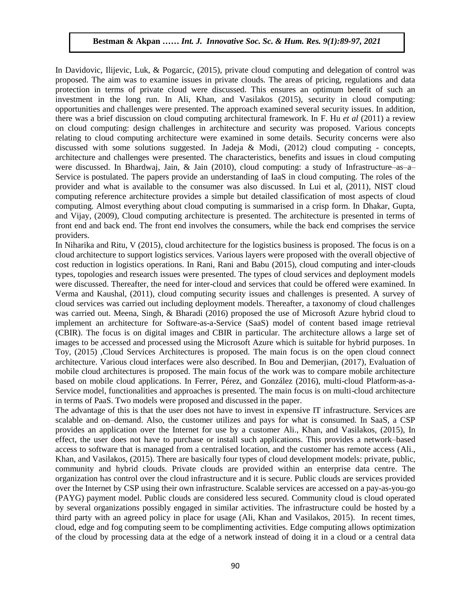In Davidovic, Ilijevic, Luk, & Pogarcic, (2015), private cloud computing and delegation of control was proposed. The aim was to examine issues in private clouds. The areas of pricing, regulations and data protection in terms of private cloud were discussed. This ensures an optimum benefit of such an investment in the long run. In Ali, Khan, and Vasilakos (2015), security in cloud computing: opportunities and challenges were presented. The approach examined several security issues. In addition, there was a brief discussion on cloud computing architectural framework. In F. Hu *et al* (2011) a review on cloud computing: design challenges in architecture and security was proposed. Various concepts relating to cloud computing architecture were examined in some details. Security concerns were also discussed with some solutions suggested. In Jadeja & Modi,  $(2012)$  cloud computing - concepts, architecture and challenges were presented. The characteristics, benefits and issues in cloud computing were discussed. In Bhardwaj, Jain, & Jain (2010), cloud computing: a study of Infrastructure–as–a– Service is postulated. The papers provide an understanding of IaaS in cloud computing. The roles of the provider and what is available to the consumer was also discussed. In Lui et al, (2011), NIST cloud computing reference architecture provides a simple but detailed classification of most aspects of cloud computing. Almost everything about cloud computing is summarised in a crisp form. In Dhakar, Gupta, and Vijay, (2009), Cloud computing architecture is presented. The architecture is presented in terms of front end and back end. The front end involves the consumers, while the back end comprises the service providers.

In Niharika and Ritu, V (2015), cloud architecture for the logistics business is proposed. The focus is on a cloud architecture to support logistics services. Various layers were proposed with the overall objective of cost reduction in logistics operations. In Rani, Rani and Babu (2015), cloud computing and inter-clouds types, topologies and research issues were presented. The types of cloud services and deployment models were discussed. Thereafter, the need for inter-cloud and services that could be offered were examined. In Verma and Kaushal, (2011), cloud computing security issues and challenges is presented. A survey of cloud services was carried out including deployment models. Thereafter, a taxonomy of cloud challenges was carried out. Meena, Singh, & Bharadi (2016) proposed the use of Microsoft Azure hybrid cloud to implement an architecture for Software-as-a-Service (SaaS) model of content based image retrieval (CBIR). The focus is on digital images and CBIR in particular. The architecture allows a large set of images to be accessed and processed using the Microsoft Azure which is suitable for hybrid purposes. 1n Toy, (2015) ,Cloud Services Architectures is proposed. The main focus is on the open cloud connect architecture. Various cloud interfaces were also described. In Bou and Demerjian, (2017), Evaluation of mobile cloud architectures is proposed. The main focus of the work was to compare mobile architecture based on mobile cloud applications. In Ferrer, Pérez, and González (2016), multi-cloud Platform-as-a-Service model, functionalities and approaches is presented. The main focus is on multi-cloud architecture in terms of PaaS. Two models were proposed and discussed in the paper.

The advantage of this is that the user does not have to invest in expensive IT infrastructure. Services are scalable and on–demand. Also, the customer utilizes and pays for what is consumed. In SaaS, a CSP provides an application over the Internet for use by a customer Ali., Khan, and Vasilakos, (2015), In effect, the user does not have to purchase or install such applications. This provides a network–based access to software that is managed from a centralised location, and the customer has remote access (Ali., Khan, and Vasilakos, (2015). There are basically four types of cloud development models: private, public, community and hybrid clouds. Private clouds are provided within an enterprise data centre. The organization has control over the cloud infrastructure and it is secure. Public clouds are services provided over the Internet by CSP using their own infrastructure. Scalable services are accessed on a pay-as-you-go (PAYG) payment model. Public clouds are considered less secured. Community cloud is cloud operated by several organizations possibly engaged in similar activities. The infrastructure could be hosted by a third party with an agreed policy in place for usage (Ali, Khan and Vasilakos, 2015). In recent times, cloud, edge and fog computing seem to be complimenting activities. Edge computing allows optimization of the cloud by processing data at the edge of a network instead of doing it in a cloud or a central data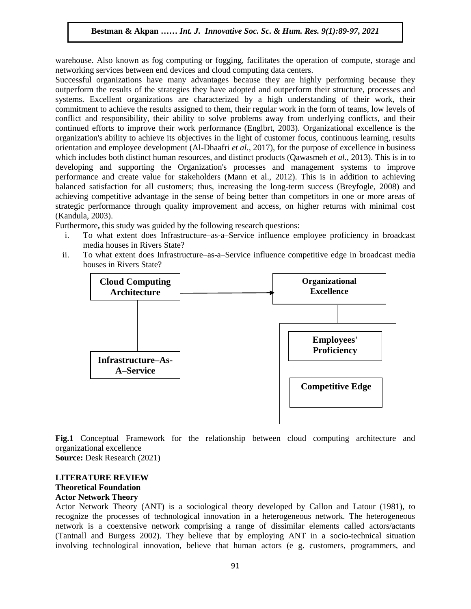warehouse. Also known as fog computing or fogging, facilitates the operation of compute, storage and networking services between end devices and cloud computing data centers.

Successful organizations have many advantages because they are highly performing because they outperform the results of the strategies they have adopted and outperform their structure, processes and systems. Excellent organizations are characterized by a high understanding of their work, their commitment to achieve the results assigned to them, their regular work in the form of teams, low levels of conflict and responsibility, their ability to solve problems away from underlying conflicts, and their continued efforts to improve their work performance (Englbrt, 2003). Organizational excellence is the organization's ability to achieve its objectives in the light of customer focus, continuous learning, results orientation and employee development (Al-Dhaafri *et al.*, 2017), for the purpose of excellence in business which includes both distinct human resources, and distinct products (Qawasmeh *et al.*, 2013). This is in to developing and supporting the Organization's processes and management systems to improve performance and create value for stakeholders (Mann et al., 2012). This is in addition to achieving balanced satisfaction for all customers; thus, increasing the long-term success (Breyfogle, 2008) and achieving competitive advantage in the sense of being better than competitors in one or more areas of strategic performance through quality improvement and access, on higher returns with minimal cost (Kandula, 2003).

Furthermore**,** this study was guided by the following research questions:

- i. To what extent does Infrastructure–as-a–Service influence employee proficiency in broadcast media houses in Rivers State?
- ii. To what extent does Infrastructure–as-a–Service influence competitive edge in broadcast media houses in Rivers State?



**Fig.1** Conceptual Framework for the relationship between cloud computing architecture and organizational excellence

**Source:** Desk Research (2021)

## **LITERATURE REVIEW**

# **Theoretical Foundation**

## **Actor Network Theory**

Actor Network Theory (ANT) is a sociological theory developed by Callon and Latour (1981), to recognize the processes of technological innovation in a heterogeneous network. The heterogeneous network is a coextensive network comprising a range of dissimilar elements called actors/actants (Tantnall and Burgess 2002). They believe that by employing ANT in a socio-technical situation involving technological innovation, believe that human actors (e g. customers, programmers, and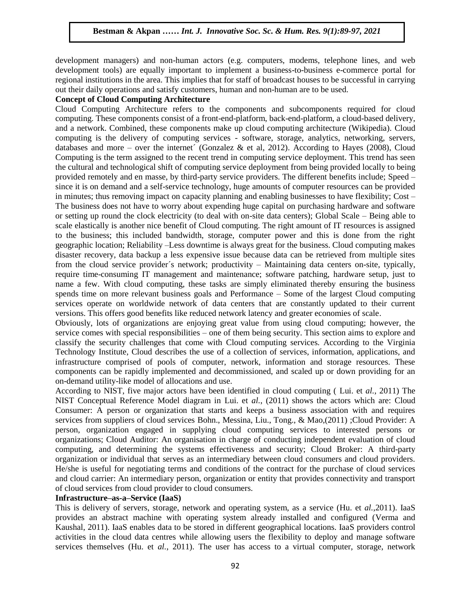development managers) and non-human actors (e.g. computers, modems, telephone lines, and web development tools) are equally important to implement a business-to-business e-commerce portal for regional institutions in the area. This implies that for staff of broadcast houses to be successful in carrying out their daily operations and satisfy customers, human and non-human are to be used.

#### **Concept of Cloud Computing Architecture**

Cloud Computing Architecture refers to the components and subcomponents required for cloud computing. These components consist of a front-end-platform, back-end-platform, a cloud-based delivery, and a network. Combined, these components make up cloud computing architecture (Wikipedia). Cloud computing is the delivery of computing services - software, storage, analytics, networking, servers, databases and more – over the internet' (Gonzalez & et al, 2012). According to Hayes (2008), Cloud Computing is the term assigned to the recent trend in computing service deployment. This trend has seen the cultural and technological shift of computing service deployment from being provided locally to being provided remotely and en masse, by third-party service providers. The different benefits include; Speed – since it is on demand and a self-service technology, huge amounts of computer resources can be provided in minutes; thus removing impact on capacity planning and enabling businesses to have flexibility; Cost – The business does not have to worry about expending huge capital on purchasing hardware and software or setting up round the clock electricity (to deal with on-site data centers); Global Scale – Being able to scale elastically is another nice benefit of Cloud computing. The right amount of IT resources is assigned to the business; this included bandwidth, storage, computer power and this is done from the right geographic location; Reliability –Less downtime is always great for the business. Cloud computing makes disaster recovery, data backup a less expensive issue because data can be retrieved from multiple sites from the cloud service provider´s network; productivity – Maintaining data centers on-site, typically, require time-consuming IT management and maintenance; software patching, hardware setup, just to name a few. With cloud computing, these tasks are simply eliminated thereby ensuring the business spends time on more relevant business goals and Performance – Some of the largest Cloud computing services operate on worldwide network of data centers that are constantly updated to their current versions. This offers good benefits like reduced network latency and greater economies of scale.

Obviously, lots of organizations are enjoying great value from using cloud computing; however, the service comes with special responsibilities – one of them being security. This section aims to explore and classify the security challenges that come with Cloud computing services. According to the Virginia Technology Institute, Cloud describes the use of a collection of services, information, applications, and infrastructure comprised of pools of computer, network, information and storage resources. These components can be rapidly implemented and decommissioned, and scaled up or down providing for an on-demand utility-like model of allocations and use.

According to NIST, five major actors have been identified in cloud computing ( Lui. et *al.*, 2011) The NIST Conceptual Reference Model diagram in Lui. et *al.*, (2011) shows the actors which are: Cloud Consumer: A person or organization that starts and keeps a business association with and requires services from suppliers of cloud services Bohn., Messina, Liu., Tong., & Mao,(2011) ;Cloud Provider: A person, organization engaged in supplying cloud computing services to interested persons or organizations; Cloud Auditor: An organisation in charge of conducting independent evaluation of cloud computing, and determining the systems effectiveness and security; Cloud Broker: A third-party organization or individual that serves as an intermediary between cloud consumers and cloud providers. He/she is useful for negotiating terms and conditions of the contract for the purchase of cloud services and cloud carrier: An intermediary person, organization or entity that provides connectivity and transport of cloud services from cloud provider to cloud consumers.

#### **Infrastructure–as-a–Service (IaaS)**

This is delivery of servers, storage, network and operating system, as a service (Hu. et *al.*,2011). IaaS provides an abstract machine with operating system already installed and configured (Verma and Kaushal, 2011). IaaS enables data to be stored in different geographical locations. IaaS providers control activities in the cloud data centres while allowing users the flexibility to deploy and manage software services themselves (Hu. et *al.*, 2011). The user has access to a virtual computer, storage, network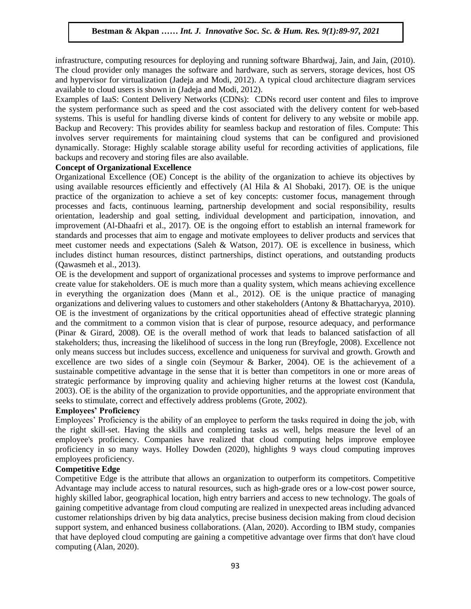infrastructure, computing resources for deploying and running software Bhardwaj, Jain, and Jain, (2010). The cloud provider only manages the software and hardware, such as servers, storage devices, host OS and hypervisor for virtualization (Jadeja and Modi, 2012). A typical cloud architecture diagram services available to cloud users is shown in (Jadeja and Modi, 2012).

Examples of IaaS: Content Delivery Networks (CDNs): CDNs record user content and files to improve the system performance such as speed and the cost associated with the delivery content for web-based systems. This is useful for handling diverse kinds of content for delivery to any website or mobile app. Backup and Recovery: This provides ability for seamless backup and restoration of files. Compute: This involves server requirements for maintaining cloud systems that can be configured and provisioned dynamically. Storage: Highly scalable storage ability useful for recording activities of applications, file backups and recovery and storing files are also available.

## **Concept of Organizational Excellence**

Organizational Excellence (OE) Concept is the ability of the organization to achieve its objectives by using available resources efficiently and effectively (Al Hila & Al Shobaki, 2017). OE is the unique practice of the organization to achieve a set of key concepts: customer focus, management through processes and facts, continuous learning, partnership development and social responsibility, results orientation, leadership and goal setting, individual development and participation, innovation, and improvement (Al-Dhaafri et al., 2017). OE is the ongoing effort to establish an internal framework for standards and processes that aim to engage and motivate employees to deliver products and services that meet customer needs and expectations (Saleh & Watson, 2017). OE is excellence in business, which includes distinct human resources, distinct partnerships, distinct operations, and outstanding products (Qawasmeh et al., 2013).

OE is the development and support of organizational processes and systems to improve performance and create value for stakeholders. OE is much more than a quality system, which means achieving excellence in everything the organization does (Mann et al., 2012). OE is the unique practice of managing organizations and delivering values to customers and other stakeholders (Antony & Bhattacharyya, 2010). OE is the investment of organizations by the critical opportunities ahead of effective strategic planning and the commitment to a common vision that is clear of purpose, resource adequacy, and performance (Pinar & Girard, 2008). OE is the overall method of work that leads to balanced satisfaction of all stakeholders; thus, increasing the likelihood of success in the long run (Breyfogle, 2008). Excellence not only means success but includes success, excellence and uniqueness for survival and growth. Growth and excellence are two sides of a single coin (Seymour & Barker, 2004). OE is the achievement of a sustainable competitive advantage in the sense that it is better than competitors in one or more areas of strategic performance by improving quality and achieving higher returns at the lowest cost (Kandula, 2003). OE is the ability of the organization to provide opportunities, and the appropriate environment that seeks to stimulate, correct and effectively address problems (Grote, 2002).

#### **Employees' Proficiency**

Employees' Proficiency is the ability of an employee to perform the tasks required in doing the job, with the right skill-set. Having the skills and completing tasks as well, helps measure the level of an employee's proficiency. Companies have realized that cloud computing helps improve employee proficiency in so many ways. Holley Dowden (2020), highlights 9 ways cloud computing improves employees proficiency.

## **Competitive Edge**

Competitive Edge is the attribute that allows an organization to outperform its competitors. Competitive Advantage may include access to natural resources, such as high-grade ores or a low-cost power source, highly skilled labor, geographical location, high entry barriers and access to new technology. The goals of gaining competitive advantage from cloud computing are realized in unexpected areas including advanced customer relationships driven by big data analytics, precise business decision making from cloud decision support system, and enhanced business collaborations. (Alan, 2020). According to IBM study, companies that have deployed cloud computing are gaining a competitive advantage over firms that don't have cloud computing (Alan, 2020).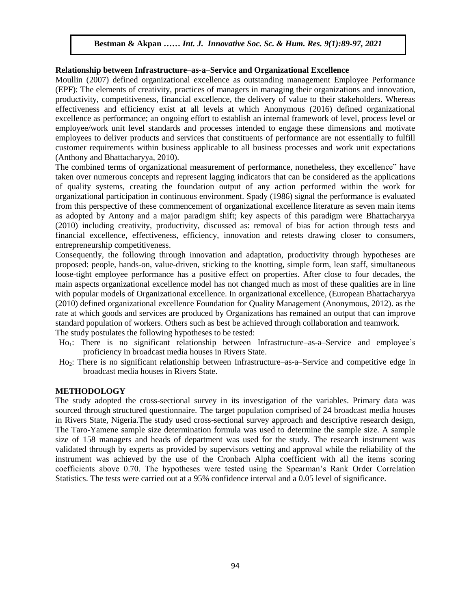#### **Relationship between Infrastructure–as-a–Service and Organizational Excellence**

Moullin (2007) defined organizational excellence as outstanding management Employee Performance (EPF): The elements of creativity, practices of managers in managing their organizations and innovation, productivity, competitiveness, financial excellence, the delivery of value to their stakeholders. Whereas effectiveness and efficiency exist at all levels at which Anonymous (2016) defined organizational excellence as performance; an ongoing effort to establish an internal framework of level, process level or employee/work unit level standards and processes intended to engage these dimensions and motivate employees to deliver products and services that constituents of performance are not essentially to fulfill customer requirements within business applicable to all business processes and work unit expectations (Anthony and Bhattacharyya, 2010).

The combined terms of organizational measurement of performance, nonetheless, they excellence" have taken over numerous concepts and represent lagging indicators that can be considered as the applications of quality systems, creating the foundation output of any action performed within the work for organizational participation in continuous environment. Spady (1986) signal the performance is evaluated from this perspective of these commencement of organizational excellence literature as seven main items as adopted by Antony and a major paradigm shift; key aspects of this paradigm were Bhattacharyya (2010) including creativity, productivity, discussed as: removal of bias for action through tests and financial excellence, effectiveness, efficiency, innovation and retests drawing closer to consumers, entrepreneurship competitiveness.

Consequently, the following through innovation and adaptation, productivity through hypotheses are proposed: people, hands-on, value-driven, sticking to the knotting, simple form, lean staff, simultaneous loose-tight employee performance has a positive effect on properties. After close to four decades, the main aspects organizational excellence model has not changed much as most of these qualities are in line with popular models of Organizational excellence. In organizational excellence, (European Bhattacharyya (2010) defined organizational excellence Foundation for Quality Management (Anonymous, 2012). as the rate at which goods and services are produced by Organizations has remained an output that can improve standard population of workers. Others such as best be achieved through collaboration and teamwork. The study postulates the following hypotheses to be tested:

- Ho<sub>1</sub>: There is no significant relationship between Infrastructure–as-a–Service and employee's proficiency in broadcast media houses in Rivers State.
- Ho2: There is no significant relationship between Infrastructure–as-a–Service and competitive edge in broadcast media houses in Rivers State.

#### **METHODOLOGY**

The study adopted the cross-sectional survey in its investigation of the variables. Primary data was sourced through structured questionnaire. The target population comprised of 24 broadcast media houses in Rivers State, Nigeria.The study used cross-sectional survey approach and descriptive research design, The Taro-Yamene sample size determination formula was used to determine the sample size. A sample size of 158 managers and heads of department was used for the study. The research instrument was validated through by experts as provided by supervisors vetting and approval while the reliability of the instrument was achieved by the use of the Cronbach Alpha coefficient with all the items scoring coefficients above 0.70. The hypotheses were tested using the Spearman's Rank Order Correlation Statistics. The tests were carried out at a 95% confidence interval and a 0.05 level of significance.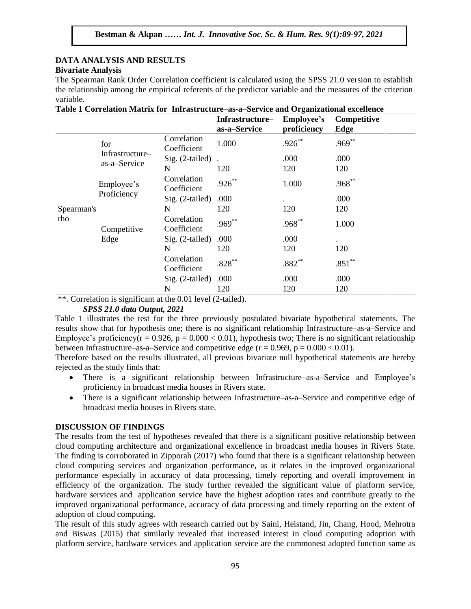### **DATA ANALYSIS AND RESULTS Bivariate Analysis**

The Spearman Rank Order Correlation coefficient is calculated using the SPSS 21.0 version to establish the relationship among the empirical referents of the predictor variable and the measures of the criterion variable.

| Table 1 Correlation Matrix for Infrastructure–as-a–Service and Organizational excellence |                                        |                            |                                 |                                  |                     |
|------------------------------------------------------------------------------------------|----------------------------------------|----------------------------|---------------------------------|----------------------------------|---------------------|
|                                                                                          |                                        |                            | Infrastructure-<br>as-a-Service | <b>Employee's</b><br>proficiency | Competitive<br>Edge |
| Spearman's<br>rho                                                                        | for<br>Infrastructure-<br>as-a-Service | Correlation<br>Coefficient | 1.000                           | $.926***$                        | $.969**$            |
|                                                                                          |                                        | $Sig. (2-tailed)$          |                                 | .000                             | .000                |
|                                                                                          |                                        | N                          | 120                             | 120                              | 120                 |
|                                                                                          | Employee's<br>Proficiency              | Correlation<br>Coefficient | $.926***$                       | 1.000                            | $.968^{**}$         |
|                                                                                          |                                        | $Sig. (2-tailed)$          | .000                            |                                  | .000                |
|                                                                                          |                                        | N                          | 120                             | 120                              | 120                 |
|                                                                                          | Competitive<br>Edge                    | Correlation<br>Coefficient | $.969***$                       | $.968**$                         | 1.000               |
|                                                                                          |                                        | $Sig. (2-tailed)$          | .000                            | .000                             | ٠                   |
|                                                                                          |                                        | N                          | 120                             | 120                              | 120                 |
|                                                                                          |                                        | Correlation<br>Coefficient | $.828***$                       | $.882**$                         | $.851**$            |
|                                                                                          |                                        | $Sig. (2-tailed)$          | .000                            | .000                             | .000                |
|                                                                                          |                                        | N                          | 120                             | 120                              | 120                 |

\*\*. Correlation is significant at the 0.01 level (2-tailed).

# *SPSS 21.0 data Output, 2021*

Table 1 illustrates the test for the three previously postulated bivariate hypothetical statements. The results show that for hypothesis one; there is no significant relationship Infrastructure–as-a–Service and Employee's proficiency( $r = 0.926$ ,  $p = 0.000 < 0.01$ ), hypothesis two; There is no significant relationship between Infrastructure–as-a–Service and competitive edge ( $r = 0.969$ ,  $p = 0.000 < 0.01$ ).

Therefore based on the results illustrated, all previous bivariate null hypothetical statements are hereby rejected as the study finds that:

- There is a significant relationship between Infrastructure–as-a–Service and Employee's proficiency in broadcast media houses in Rivers state.
- There is a significant relationship between Infrastructure–as-a–Service and competitive edge of broadcast media houses in Rivers state.

# **DISCUSSION OF FINDINGS**

The results from the test of hypotheses revealed that there is a significant positive relationship between cloud computing architecture and organizational excellence in broadcast media houses in Rivers State. The finding is corroborated in Zipporah (2017) who found that there is a significant relationship between cloud computing services and organization performance, as it relates in the improved organizational performance especially in accuracy of data processing, timely reporting and overall improvement in efficiency of the organization. The study further revealed the significant value of platform service, hardware services and application service have the highest adoption rates and contribute greatly to the improved organizational performance, accuracy of data processing and timely reporting on the extent of adoption of cloud computing.

The result of this study agrees with research carried out by Saini, Heistand, Jin, Chang, Hood, Mehrotra and Biswas (2015) that similarly revealed that increased interest in cloud computing adoption with platform service, hardware services and application service are the commonest adopted function same as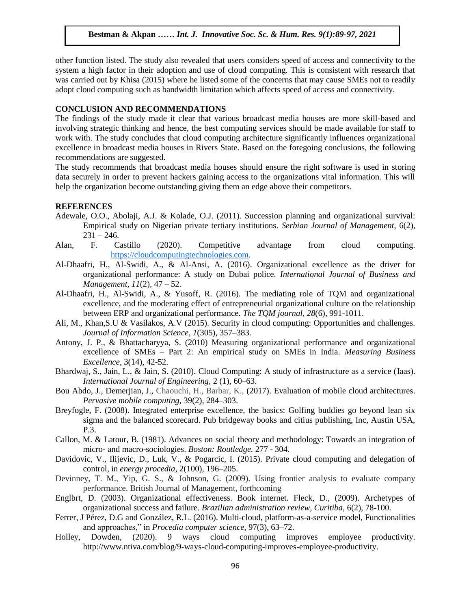other function listed. The study also revealed that users considers speed of access and connectivity to the system a high factor in their adoption and use of cloud computing. This is consistent with research that was carried out by Khisa (2015) where he listed some of the concerns that may cause SMEs not to readily adopt cloud computing such as bandwidth limitation which affects speed of access and connectivity.

#### **CONCLUSION AND RECOMMENDATIONS**

The findings of the study made it clear that various broadcast media houses are more skill-based and involving strategic thinking and hence, the best computing services should be made available for staff to work with. The study concludes that cloud computing architecture significantly influences organizational excellence in broadcast media houses in Rivers State. Based on the foregoing conclusions, the following recommendations are suggested.

The study recommends that broadcast media houses should ensure the right software is used in storing data securely in order to prevent hackers gaining access to the organizations vital information. This will help the organization become outstanding giving them an edge above their competitors.

#### **REFERENCES**

- Adewale, O.O., Abolaji, A.J. & Kolade, O.J. (2011). Succession planning and organizational survival: Empirical study on Nigerian private tertiary institutions. *Serbian Journal of Management,* 6(2),  $231 - 246.$
- Alan, F. Castillo (2020). Competitive advantage from cloud computing. [https://cloudcomputingtechnologies.com.](https://cloudcomputingtechnologies.com/)
- Al-Dhaafri, H., Al-Swidi, A., & Al-Ansi, A. (2016). Organizational excellence as the driver for organizational performance: A study on Dubai police. *International Journal of Business and Management, 11*(2), 47 – 52.
- Al-Dhaafri, H., Al-Swidi, A., & Yusoff, R. (2016). The mediating role of TQM and organizational excellence, and the moderating effect of entrepreneurial organizational culture on the relationship between ERP and organizational performance. *The TQM journal, 28*(6), 991-1011.
- Ali, M., Khan,S.U & Vasilakos, A.V (2015). Security in cloud computing: Opportunities and challenges. *Journal of Information Science, 1*(305), 357–383.
- Antony, J. P., & Bhattacharyya, S. (2010) Measuring organizational performance and organizational excellence of SMEs – Part 2: An empirical study on SMEs in India. *Measuring Business Excellence,* 3(14), 42-52.
- Bhardwaj, S., Jain, L., & Jain, S. (2010). Cloud Computing: A study of infrastructure as a service (Iaas). *International Journal of Engineering,* 2 (1), 60–63.
- Bou Abdo, J., Demerjian, J., Chaouchi, H., Barbar, K., (2017). Evaluation of mobile cloud architectures. *Pervasive mobile computing*, 39(2), 284–303.
- Breyfogle, F. (2008). Integrated enterprise excellence, the basics: Golfing buddies go beyond lean six sigma and the balanced scorecard. Pub bridgeway books and citius publishing, Inc, Austin USA, P.3.
- Callon, M. & Latour, B. (1981). Advances on social theory and methodology: Towards an integration of micro- and macro-sociologies. *Boston: Routledge.* 277 - 304.
- Davidovic, V., Ilijevic, D., Luk, V., & Pogarcic, I. (2015). Private cloud computing and delegation of control, in *energy procedia*, 2(100), 196–205.
- Devinney, T. M., Yip, G. S., & Johnson, G. (2009). Using frontier analysis to evaluate company performance. British Journal of Management, forthcoming
- Englbrt, D. (2003). Organizational effectiveness. Book internet. Fleck, D., (2009). Archetypes of organizational success and failure. *Brazilian administration review, Curitiba,* 6(2), 78-100.
- Ferrer, J Pérez, D.G and González, R.L. (2016). Multi-cloud, platform-as-a-service model, Functionalities and approaches," in *Procedia computer science*, 97(3), 63–72.
- Holley, Dowden, (2020). 9 ways cloud computing improves employee productivity. http://www.ntiva.com/blog/9-ways-cloud-computing-improves-employee-productivity.